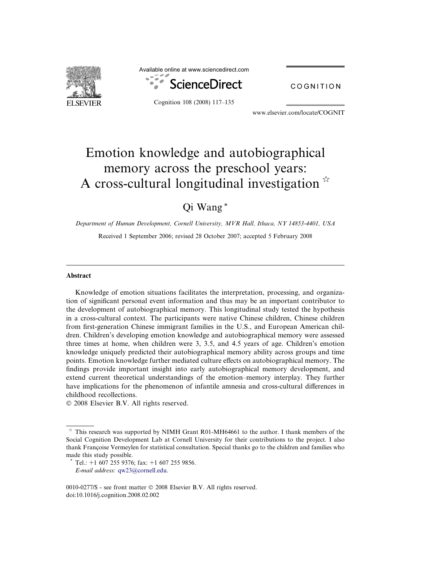

Available online at www.sciencedirect.com



Cognition 108 (2008) 117–135

COGNITION

www.elsevier.com/locate/COGNIT

# Emotion knowledge and autobiographical memory across the preschool years: A cross-cultural longitudinal investigation  $\mathbb{R}$

### Qi Wang \*

Department of Human Development, Cornell University, MVR Hall, Ithaca, NY 14853-4401, USA

Received 1 September 2006; revised 28 October 2007; accepted 5 February 2008

#### Abstract

Knowledge of emotion situations facilitates the interpretation, processing, and organization of significant personal event information and thus may be an important contributor to the development of autobiographical memory. This longitudinal study tested the hypothesis in a cross-cultural context. The participants were native Chinese children, Chinese children from first-generation Chinese immigrant families in the U.S., and European American children. Children's developing emotion knowledge and autobiographical memory were assessed three times at home, when children were 3, 3.5, and 4.5 years of age. Children's emotion knowledge uniquely predicted their autobiographical memory ability across groups and time points. Emotion knowledge further mediated culture effects on autobiographical memory. The findings provide important insight into early autobiographical memory development, and extend current theoretical understandings of the emotion–memory interplay. They further have implications for the phenomenon of infantile amnesia and cross-cultural differences in childhood recollections.

© 2008 Elsevier B.V. All rights reserved.

 $\star$  This research was supported by NIMH Grant R01-MH64661 to the author. I thank members of the Social Cognition Development Lab at Cornell University for their contributions to the project. I also thank Françoise Vermeylen for statistical consultation. Special thanks go to the children and families who made this study possible.

Tel.:  $+1$  607 255 9376; fax:  $+1$  607 255 9856. E-mail address: [qw23@cornell.edu.](mailto:qw23@cornell.edu)

<sup>0010-0277/\$ -</sup> see front matter © 2008 Elsevier B.V. All rights reserved. doi:10.1016/j.cognition.2008.02.002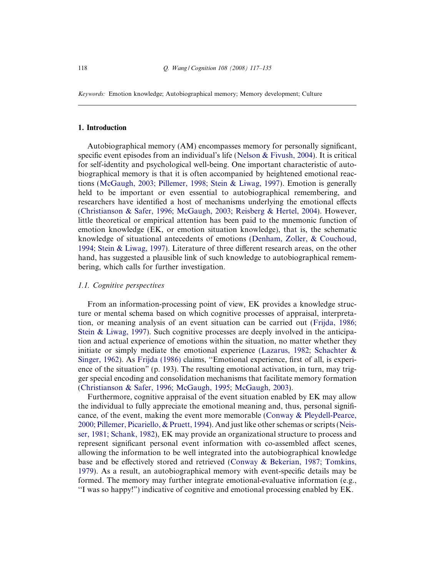Keywords: Emotion knowledge; Autobiographical memory; Memory development; Culture

#### 1. Introduction

Autobiographical memory (AM) encompasses memory for personally significant, specific event episodes from an individual's life ([Nelson & Fivush, 2004\)](#page--1-0). It is critical for self-identity and psychological well-being. One important characteristic of autobiographical memory is that it is often accompanied by heightened emotional reactions [\(McGaugh, 2003; Pillemer, 1998; Stein & Liwag, 1997](#page--1-0)). Emotion is generally held to be important or even essential to autobiographical remembering, and researchers have identified a host of mechanisms underlying the emotional effects ([Christianson & Safer, 1996; McGaugh, 2003; Reisberg & Hertel, 2004](#page--1-0)). However, little theoretical or empirical attention has been paid to the mnemonic function of emotion knowledge (EK, or emotion situation knowledge), that is, the schematic knowledge of situational antecedents of emotions [\(Denham, Zoller, & Couchoud,](#page--1-0) [1994; Stein & Liwag, 1997\)](#page--1-0). Literature of three different research areas, on the other hand, has suggested a plausible link of such knowledge to autobiographical remembering, which calls for further investigation.

### 1.1. Cognitive perspectives

From an information-processing point of view, EK provides a knowledge structure or mental schema based on which cognitive processes of appraisal, interpretation, or meaning analysis of an event situation can be carried out [\(Frijda, 1986;](#page--1-0) [Stein & Liwag, 1997\)](#page--1-0). Such cognitive processes are deeply involved in the anticipation and actual experience of emotions within the situation, no matter whether they initiate or simply mediate the emotional experience (Lazarus, 1982; Schachter  $\&$ [Singer, 1962](#page--1-0)). As [Frijda \(1986\)](#page--1-0) claims, ''Emotional experience, first of all, is experience of the situation" (p. 193). The resulting emotional activation, in turn, may trigger special encoding and consolidation mechanisms that facilitate memory formation ([Christianson & Safer, 1996; McGaugh, 1995; McGaugh, 2003\)](#page--1-0).

Furthermore, cognitive appraisal of the event situation enabled by EK may allow the individual to fully appreciate the emotional meaning and, thus, personal significance, of the event, making the event more memorable ([Conway & Pleydell-Pearce,](#page--1-0) [2000; Pillemer, Picariello, & Pruett, 1994](#page--1-0)). And just like other schemas or scripts ([Neis](#page--1-0)[ser, 1981; Schank, 1982](#page--1-0)), EK may provide an organizational structure to process and represent significant personal event information with co-assembled affect scenes, allowing the information to be well integrated into the autobiographical knowledge base and be effectively stored and retrieved ([Conway & Bekerian, 1987; Tomkins,](#page--1-0) [1979\)](#page--1-0). As a result, an autobiographical memory with event-specific details may be formed. The memory may further integrate emotional-evaluative information (e.g., ''I was so happy!") indicative of cognitive and emotional processing enabled by EK.